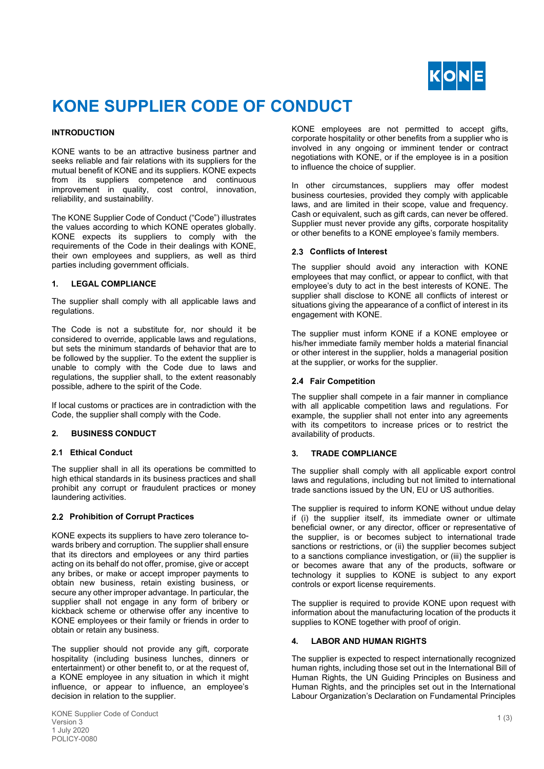

# **KONE SUPPLIER CODE OF CONDUCT**

# **INTRODUCTION**

KONE wants to be an attractive business partner and seeks reliable and fair relations with its suppliers for the mutual benefit of KONE and its suppliers. KONE expects from its suppliers competence and continuous improvement in quality, cost control, innovation, reliability, and sustainability.

The KONE Supplier Code of Conduct ("Code") illustrates the values according to which KONE operates globally. KONE expects its suppliers to comply with the requirements of the Code in their dealings with KONE, their own employees and suppliers, as well as third parties including government officials.

#### **1. LEGAL COMPLIANCE**

The supplier shall comply with all applicable laws and regulations.

The Code is not a substitute for, nor should it be considered to override, applicable laws and regulations, but sets the minimum standards of behavior that are to be followed by the supplier. To the extent the supplier is unable to comply with the Code due to laws and regulations, the supplier shall, to the extent reasonably possible, adhere to the spirit of the Code.

If local customs or practices are in contradiction with the Code, the supplier shall comply with the Code.

# **2. BUSINESS CONDUCT**

# **2.1 Ethical Conduct**

The supplier shall in all its operations be committed to high ethical standards in its business practices and shall prohibit any corrupt or fraudulent practices or money laundering activities.

# **Prohibition of Corrupt Practices**

KONE expects its suppliers to have zero tolerance towards bribery and corruption. The supplier shall ensure that its directors and employees or any third parties acting on its behalf do not offer, promise, give or accept any bribes, or make or accept improper payments to obtain new business, retain existing business, or secure any other improper advantage. In particular, the supplier shall not engage in any form of bribery or kickback scheme or otherwise offer any incentive to KONE employees or their family or friends in order to obtain or retain any business.

The supplier should not provide any gift, corporate hospitality (including business lunches, dinners or entertainment) or other benefit to, or at the request of, a KONE employee in any situation in which it might influence, or appear to influence, an employee's decision in relation to the supplier.

KONE employees are not permitted to accept gifts, corporate hospitality or other benefits from a supplier who is involved in any ongoing or imminent tender or contract negotiations with KONE, or if the employee is in a position to influence the choice of supplier.

In other circumstances, suppliers may offer modest business courtesies, provided they comply with applicable laws, and are limited in their scope, value and frequency. Cash or equivalent, such as gift cards, can never be offered. Supplier must never provide any gifts, corporate hospitality or other benefits to a KONE employee's family members.

# **Conflicts of Interest**

The supplier should avoid any interaction with KONE employees that may conflict, or appear to conflict, with that employee's duty to act in the best interests of KONE. The supplier shall disclose to KONE all conflicts of interest or situations giving the appearance of a conflict of interest in its engagement with KONE.

The supplier must inform KONE if a KONE employee or his/her immediate family member holds a material financial or other interest in the supplier, holds a managerial position at the supplier, or works for the supplier.

# **Fair Competition**

The supplier shall compete in a fair manner in compliance with all applicable competition laws and regulations. For example, the supplier shall not enter into any agreements with its competitors to increase prices or to restrict the availability of products.

# **3. TRADE COMPLIANCE**

The supplier shall comply with all applicable export control laws and regulations, including but not limited to international trade sanctions issued by the UN, EU or US authorities.

The supplier is required to inform KONE without undue delay if (i) the supplier itself, its immediate owner or ultimate beneficial owner, or any director, officer or representative of the supplier, is or becomes subject to international trade sanctions or restrictions, or (ii) the supplier becomes subject to a sanctions compliance investigation, or (iii) the supplier is or becomes aware that any of the products, software or technology it supplies to KONE is subject to any export controls or export license requirements.

The supplier is required to provide KONE upon request with information about the manufacturing location of the products it supplies to KONE together with proof of origin.

# **4. LABOR AND HUMAN RIGHTS**

The supplier is expected to respect internationally recognized human rights, including those set out in the International Bill of Human Rights, the UN Guiding Principles on Business and Human Rights, and the principles set out in the International Labour Organization's Declaration on Fundamental Principles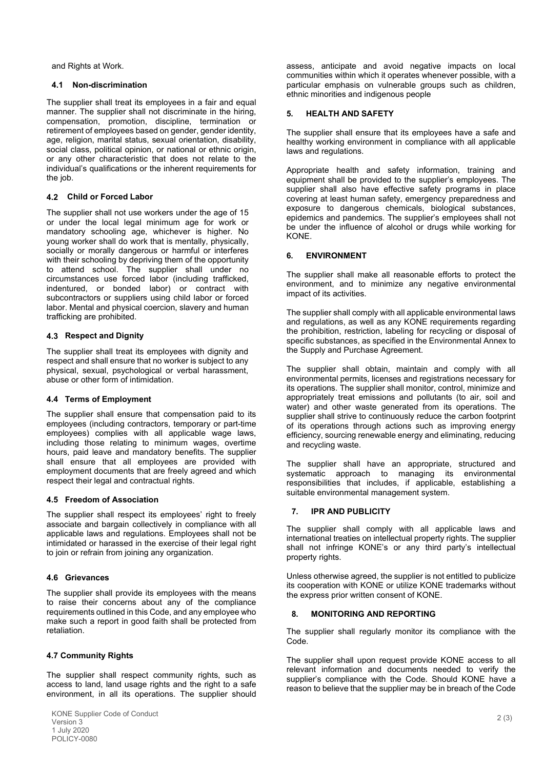and Rights at Work.

#### **4.1 Non-discrimination**

The supplier shall treat its employees in a fair and equal manner. The supplier shall not discriminate in the hiring, compensation, promotion, discipline, termination or retirement of employees based on gender, gender identity, age, religion, marital status, sexual orientation, disability, social class, political opinion, or national or ethnic origin, or any other characteristic that does not relate to the individual's qualifications or the inherent requirements for the job.

#### **4.2 Child or Forced Labor**

The supplier shall not use workers under the age of 15 or under the local legal minimum age for work or mandatory schooling age, whichever is higher. No young worker shall do work that is mentally, physically, socially or morally dangerous or harmful or interferes with their schooling by depriving them of the opportunity to attend school. The supplier shall under no circumstances use forced labor (including trafficked, indentured, or bonded labor) or contract with subcontractors or suppliers using child labor or forced labor. Mental and physical coercion, slavery and human trafficking are prohibited.

# **4.3 Respect and Dignity**

The supplier shall treat its employees with dignity and respect and shall ensure that no worker is subject to any physical, sexual, psychological or verbal harassment, abuse or other form of intimidation.

# **4.4 Terms of Employment**

The supplier shall ensure that compensation paid to its employees (including contractors, temporary or part-time employees) complies with all applicable wage laws, including those relating to minimum wages, overtime hours, paid leave and mandatory benefits. The supplier shall ensure that all employees are provided with employment documents that are freely agreed and which respect their legal and contractual rights.

#### **4.5 Freedom of Association**

The supplier shall respect its employees' right to freely associate and bargain collectively in compliance with all applicable laws and regulations. Employees shall not be intimidated or harassed in the exercise of their legal right to join or refrain from joining any organization.

#### **4.6 Grievances**

The supplier shall provide its employees with the means to raise their concerns about any of the compliance requirements outlined in this Code, and any employee who make such a report in good faith shall be protected from retaliation.

#### **4.7 Community Rights**

The supplier shall respect community rights, such as access to land, land usage rights and the right to a safe environment, in all its operations. The supplier should assess, anticipate and avoid negative impacts on local communities within which it operates whenever possible, with a particular emphasis on vulnerable groups such as children, ethnic minorities and indigenous people

#### **5. HEALTH AND SAFETY**

The supplier shall ensure that its employees have a safe and healthy working environment in compliance with all applicable laws and regulations.

Appropriate health and safety information, training and equipment shall be provided to the supplier's employees. The supplier shall also have effective safety programs in place covering at least human safety, emergency preparedness and exposure to dangerous chemicals, biological substances, epidemics and pandemics. The supplier's employees shall not be under the influence of alcohol or drugs while working for KONE.

# **6. ENVIRONMENT**

The supplier shall make all reasonable efforts to protect the environment, and to minimize any negative environmental impact of its activities.

The supplier shall comply with all applicable environmental laws and regulations, as well as any KONE requirements regarding the prohibition, restriction, labeling for recycling or disposal of specific substances, as specified in the Environmental Annex to the Supply and Purchase Agreement.

The supplier shall obtain, maintain and comply with all environmental permits, licenses and registrations necessary for its operations. The supplier shall monitor, control, minimize and appropriately treat emissions and pollutants (to air, soil and water) and other waste generated from its operations. The supplier shall strive to continuously reduce the carbon footprint of its operations through actions such as improving energy efficiency, sourcing renewable energy and eliminating, reducing and recycling waste.

The supplier shall have an appropriate, structured and systematic approach to managing its environmental responsibilities that includes, if applicable, establishing a suitable environmental management system.

# **7. IPR AND PUBLICITY**

The supplier shall comply with all applicable laws and international treaties on intellectual property rights. The supplier shall not infringe KONE's or any third party's intellectual property rights.

Unless otherwise agreed, the supplier is not entitled to publicize its cooperation with KONE or utilize KONE trademarks without the express prior written consent of KONE.

#### **8. MONITORING AND REPORTING**

The supplier shall regularly monitor its compliance with the Code.

The supplier shall upon request provide KONE access to all relevant information and documents needed to verify the supplier's compliance with the Code. Should KONE have a reason to believe that the supplier may be in breach of the Code